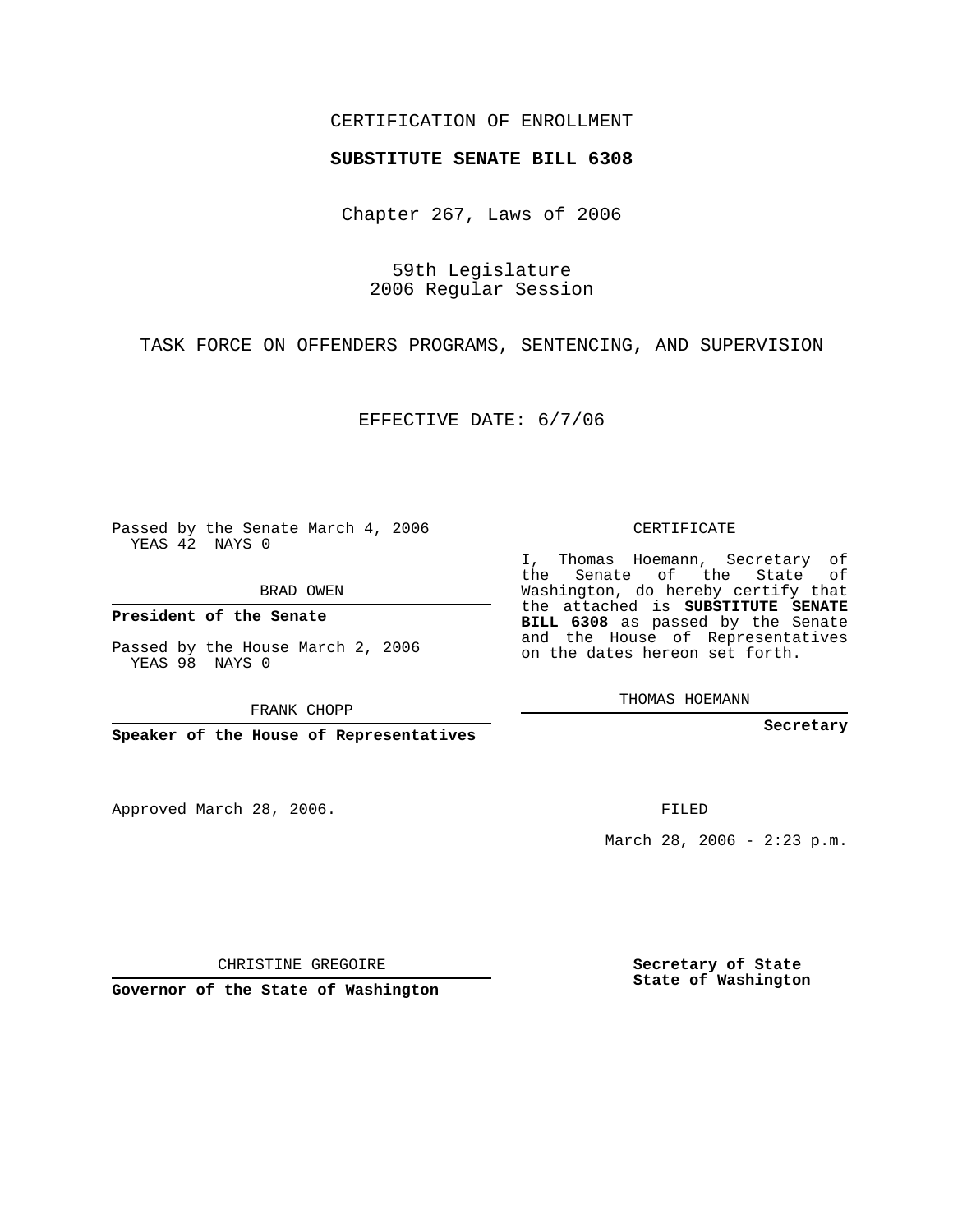## CERTIFICATION OF ENROLLMENT

## **SUBSTITUTE SENATE BILL 6308**

Chapter 267, Laws of 2006

59th Legislature 2006 Regular Session

TASK FORCE ON OFFENDERS PROGRAMS, SENTENCING, AND SUPERVISION

EFFECTIVE DATE: 6/7/06

Passed by the Senate March 4, 2006 YEAS 42 NAYS 0

BRAD OWEN

**President of the Senate**

Passed by the House March 2, 2006 YEAS 98 NAYS 0

FRANK CHOPP

**Speaker of the House of Representatives**

Approved March 28, 2006.

CERTIFICATE

I, Thomas Hoemann, Secretary of the Senate of the State of Washington, do hereby certify that the attached is **SUBSTITUTE SENATE BILL 6308** as passed by the Senate and the House of Representatives on the dates hereon set forth.

THOMAS HOEMANN

**Secretary**

FILED

March 28, 2006 -  $2:23$  p.m.

CHRISTINE GREGOIRE

**Governor of the State of Washington**

**Secretary of State State of Washington**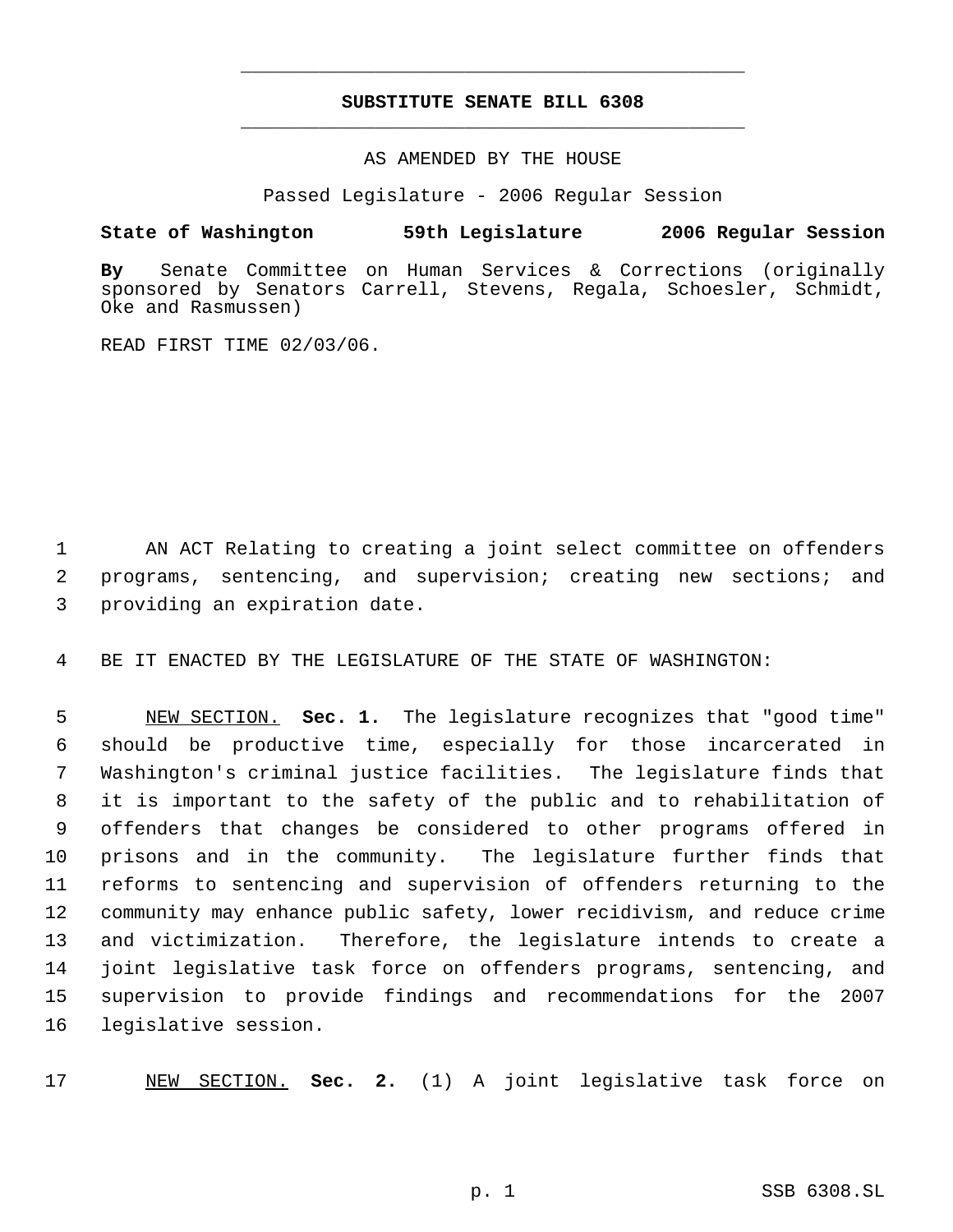## **SUBSTITUTE SENATE BILL 6308** \_\_\_\_\_\_\_\_\_\_\_\_\_\_\_\_\_\_\_\_\_\_\_\_\_\_\_\_\_\_\_\_\_\_\_\_\_\_\_\_\_\_\_\_\_

\_\_\_\_\_\_\_\_\_\_\_\_\_\_\_\_\_\_\_\_\_\_\_\_\_\_\_\_\_\_\_\_\_\_\_\_\_\_\_\_\_\_\_\_\_

AS AMENDED BY THE HOUSE

Passed Legislature - 2006 Regular Session

## **State of Washington 59th Legislature 2006 Regular Session**

**By** Senate Committee on Human Services & Corrections (originally sponsored by Senators Carrell, Stevens, Regala, Schoesler, Schmidt, Oke and Rasmussen)

READ FIRST TIME 02/03/06.

 AN ACT Relating to creating a joint select committee on offenders programs, sentencing, and supervision; creating new sections; and providing an expiration date.

BE IT ENACTED BY THE LEGISLATURE OF THE STATE OF WASHINGTON:

 NEW SECTION. **Sec. 1.** The legislature recognizes that "good time" should be productive time, especially for those incarcerated in Washington's criminal justice facilities. The legislature finds that it is important to the safety of the public and to rehabilitation of offenders that changes be considered to other programs offered in prisons and in the community. The legislature further finds that reforms to sentencing and supervision of offenders returning to the community may enhance public safety, lower recidivism, and reduce crime and victimization. Therefore, the legislature intends to create a joint legislative task force on offenders programs, sentencing, and supervision to provide findings and recommendations for the 2007 legislative session.

NEW SECTION. **Sec. 2.** (1) A joint legislative task force on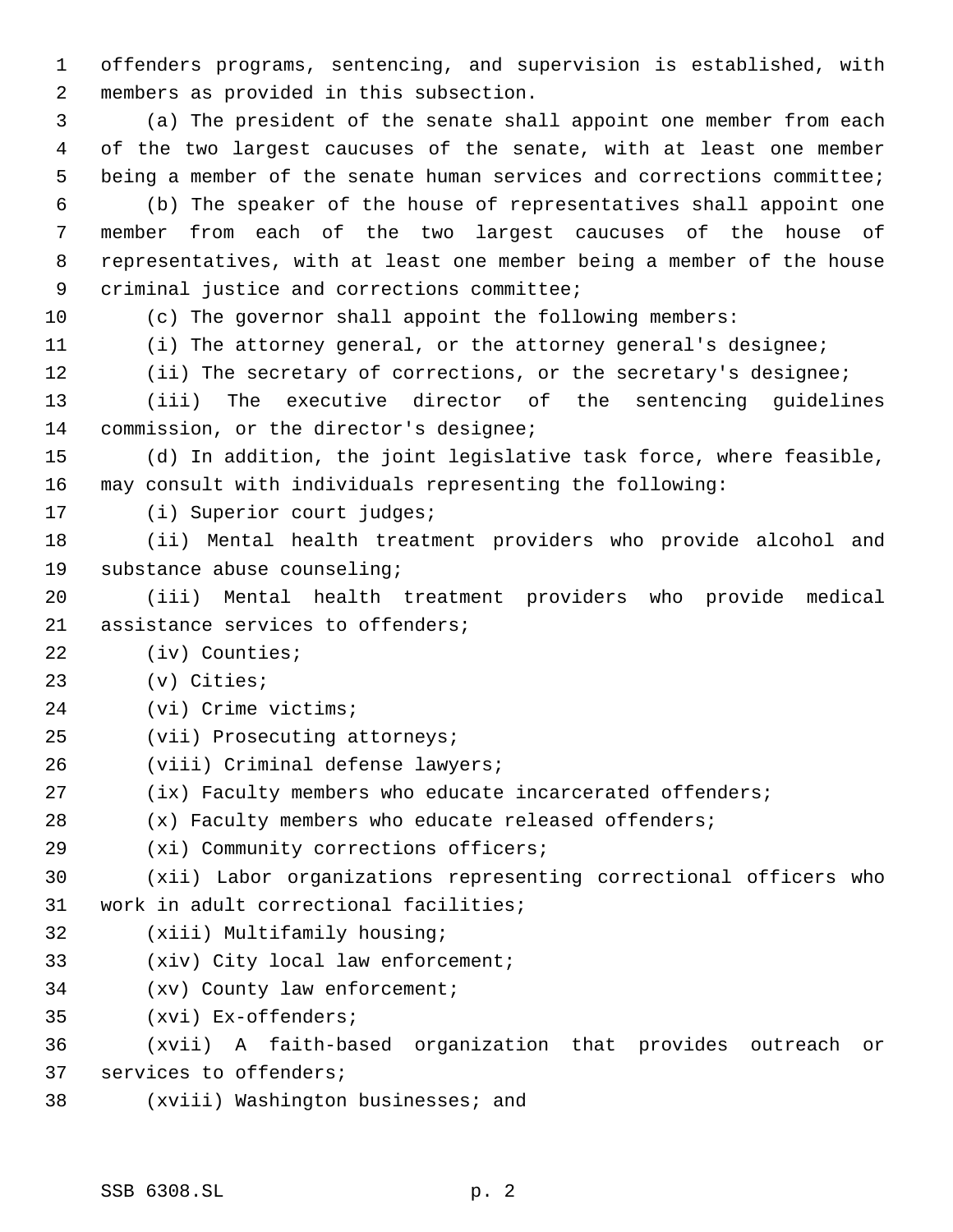offenders programs, sentencing, and supervision is established, with members as provided in this subsection.

 (a) The president of the senate shall appoint one member from each of the two largest caucuses of the senate, with at least one member being a member of the senate human services and corrections committee;

 (b) The speaker of the house of representatives shall appoint one member from each of the two largest caucuses of the house of representatives, with at least one member being a member of the house criminal justice and corrections committee;

(c) The governor shall appoint the following members:

(i) The attorney general, or the attorney general's designee;

(ii) The secretary of corrections, or the secretary's designee;

 (iii) The executive director of the sentencing guidelines commission, or the director's designee;

 (d) In addition, the joint legislative task force, where feasible, may consult with individuals representing the following:

(i) Superior court judges;

 (ii) Mental health treatment providers who provide alcohol and substance abuse counseling;

 (iii) Mental health treatment providers who provide medical 21 assistance services to offenders;

(iv) Counties;

(v) Cities;

(vi) Crime victims;

(vii) Prosecuting attorneys;

(viii) Criminal defense lawyers;

(ix) Faculty members who educate incarcerated offenders;

(x) Faculty members who educate released offenders;

(xi) Community corrections officers;

 (xii) Labor organizations representing correctional officers who work in adult correctional facilities;

(xiii) Multifamily housing;

(xiv) City local law enforcement;

(xv) County law enforcement;

(xvi) Ex-offenders;

 (xvii) A faith-based organization that provides outreach or services to offenders;

(xviii) Washington businesses; and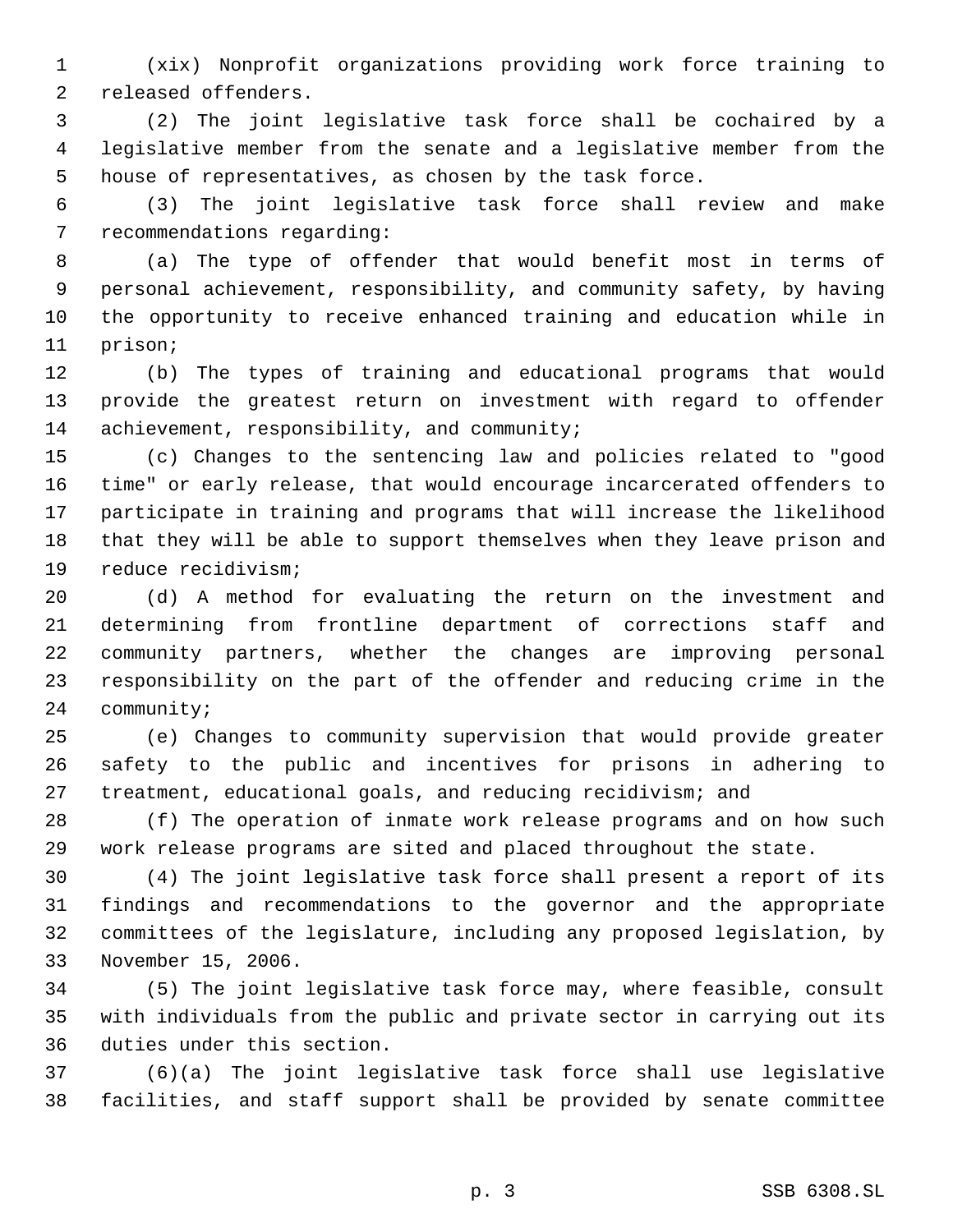(xix) Nonprofit organizations providing work force training to released offenders.

 (2) The joint legislative task force shall be cochaired by a legislative member from the senate and a legislative member from the house of representatives, as chosen by the task force.

 (3) The joint legislative task force shall review and make recommendations regarding:

 (a) The type of offender that would benefit most in terms of personal achievement, responsibility, and community safety, by having the opportunity to receive enhanced training and education while in prison;

 (b) The types of training and educational programs that would provide the greatest return on investment with regard to offender 14 achievement, responsibility, and community;

 (c) Changes to the sentencing law and policies related to "good time" or early release, that would encourage incarcerated offenders to participate in training and programs that will increase the likelihood that they will be able to support themselves when they leave prison and reduce recidivism;

 (d) A method for evaluating the return on the investment and determining from frontline department of corrections staff and community partners, whether the changes are improving personal responsibility on the part of the offender and reducing crime in the community;

 (e) Changes to community supervision that would provide greater safety to the public and incentives for prisons in adhering to treatment, educational goals, and reducing recidivism; and

 (f) The operation of inmate work release programs and on how such work release programs are sited and placed throughout the state.

 (4) The joint legislative task force shall present a report of its findings and recommendations to the governor and the appropriate committees of the legislature, including any proposed legislation, by November 15, 2006.

 (5) The joint legislative task force may, where feasible, consult with individuals from the public and private sector in carrying out its duties under this section.

 (6)(a) The joint legislative task force shall use legislative facilities, and staff support shall be provided by senate committee